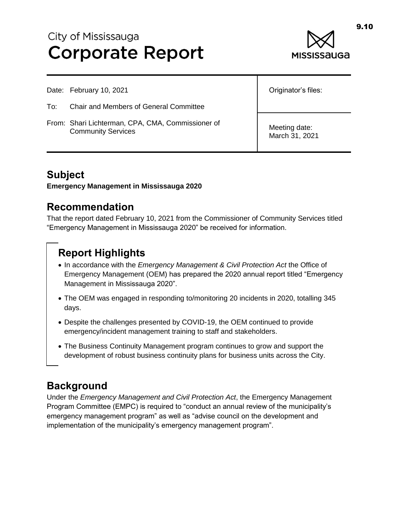# City of Mississauga **Corporate Report**



- To: Chair and Members of General Committee
- From: Shari Lichterman, CPA, CMA, Commissioner of Community Services

Originator's files:

Meeting date: March 31, 2021

#### **Subject**

**Emergency Management in Mississauga 2020**

#### **Recommendation**

That the report dated February 10, 2021 from the Commissioner of Community Services titled "Emergency Management in Mississauga 2020" be received for information.

# **Report Highlights**

- In accordance with the *Emergency Management & Civil Protection Act* the Office of Emergency Management (OEM) has prepared the 2020 annual report titled "Emergency Management in Mississauga 2020".
- The OEM was engaged in responding to/monitoring 20 incidents in 2020, totalling 345 days.
- Despite the challenges presented by COVID-19, the OEM continued to provide emergency/incident management training to staff and stakeholders.
- The Business Continuity Management program continues to grow and support the development of robust business continuity plans for business units across the City.

## **Background**

Under the *Emergency Management and Civil Protection Act*, the Emergency Management Program Committee (EMPC) is required to "conduct an annual review of the municipality's emergency management program" as well as "advise council on the development and implementation of the municipality's emergency management program".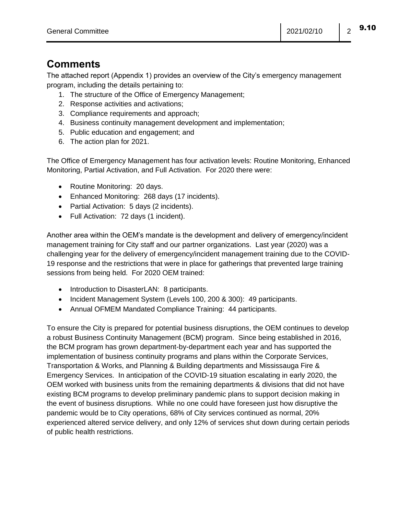9.10

## **Comments**

The attached report (Appendix 1) provides an overview of the City's emergency management program, including the details pertaining to:

- 1. The structure of the Office of Emergency Management;
- 2. Response activities and activations;
- 3. Compliance requirements and approach;
- 4. Business continuity management development and implementation;
- 5. Public education and engagement; and
- 6. The action plan for 2021.

The Office of Emergency Management has four activation levels: Routine Monitoring, Enhanced Monitoring, Partial Activation, and Full Activation. For 2020 there were:

- Routine Monitoring: 20 days.
- Enhanced Monitoring: 268 days (17 incidents).
- Partial Activation: 5 days (2 incidents).
- Full Activation: 72 days (1 incident).

Another area within the OEM's mandate is the development and delivery of emergency/incident management training for City staff and our partner organizations. Last year (2020) was a challenging year for the delivery of emergency/incident management training due to the COVID-19 response and the restrictions that were in place for gatherings that prevented large training sessions from being held. For 2020 OEM trained:

- Introduction to DisasterLAN: 8 participants.
- Incident Management System (Levels 100, 200 & 300): 49 participants.
- Annual OFMEM Mandated Compliance Training: 44 participants.

To ensure the City is prepared for potential business disruptions, the OEM continues to develop a robust Business Continuity Management (BCM) program. Since being established in 2016, the BCM program has grown department-by-department each year and has supported the implementation of business continuity programs and plans within the Corporate Services, Transportation & Works, and Planning & Building departments and Mississauga Fire & Emergency Services. In anticipation of the COVID-19 situation escalating in early 2020, the OEM worked with business units from the remaining departments & divisions that did not have existing BCM programs to develop preliminary pandemic plans to support decision making in the event of business disruptions. While no one could have foreseen just how disruptive the pandemic would be to City operations, 68% of City services continued as normal, 20% experienced altered service delivery, and only 12% of services shut down during certain periods of public health restrictions.